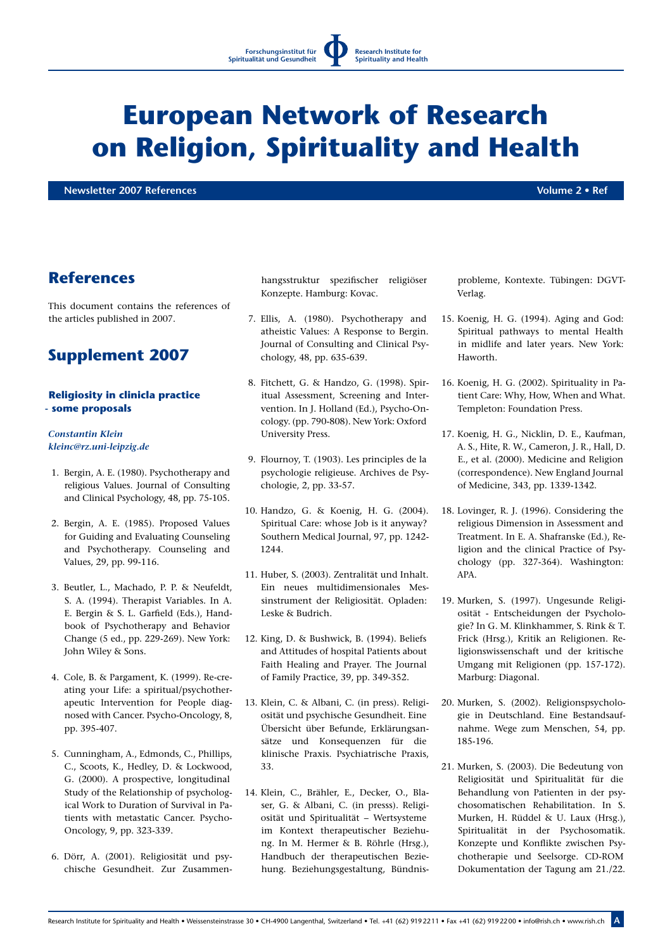**Research Institute for Spirituality and Health**

# **European Network of Research on Religion, Spirituality and Health**

**Newsletter 2007 References Volume 2 • Ref**

## **References**

This document contains the references of the articles published in 2007.

# **Supplement 2007**

### **Religiosity in clinicla practice - some proposals**

#### *Constantin Klein kleinc@rz.uni-leipzig.de*

- 1. Bergin, A. E. (1980). Psychotherapy and religious Values. Journal of Consulting and Clinical Psychology, 48, pp. 75-105.
- 2. Bergin, A. E. (1985). Proposed Values for Guiding and Evaluating Counseling and Psychotherapy. Counseling and Values, 29, pp. 99-116.
- 3. Beutler, L., Machado, P. P. & Neufeldt, S. A. (1994). Therapist Variables. In A. E. Bergin & S. L. Garfield (Eds.), Handbook of Psychotherapy and Behavior Change (5 ed., pp. 229-269). New York: John Wiley & Sons.
- 4. Cole, B. & Pargament, K. (1999). Re-creating your Life: a spiritual/psychotherapeutic Intervention for People diagnosed with Cancer. Psycho-Oncology, 8, pp. 395-407.
- 5. Cunningham, A., Edmonds, C., Phillips, C., Scoots, K., Hedley, D. & Lockwood, G. (2000). A prospective, longitudinal Study of the Relationship of psychological Work to Duration of Survival in Patients with metastatic Cancer. Psycho-Oncology, 9, pp. 323-339.
- 6. Dörr, A. (2001). Religiosität und psychische Gesundheit. Zur Zusammen-

hangsstruktur spezifischer religiöser Konzepte. Hamburg: Kovac.

- 7. Ellis, A. (1980). Psychotherapy and atheistic Values: A Response to Bergin. Journal of Consulting and Clinical Psychology, 48, pp. 635-639.
- 8. Fitchett, G. & Handzo, G. (1998). Spiritual Assessment, Screening and Intervention. In J. Holland (Ed.), Psycho-Oncology. (pp. 790-808). New York: Oxford University Press.
- 9. Flournoy, T. (1903). Les principles de la psychologie religieuse. Archives de Psychologie, 2, pp. 33-57.
- 10. Handzo, G. & Koenig, H. G. (2004). Spiritual Care: whose Job is it anyway? Southern Medical Journal, 97, pp. 1242- 1244.
- 11. Huber, S. (2003). Zentralität und Inhalt. Ein neues multidimensionales Messinstrument der Religiosität. Opladen: Leske & Budrich.
- 12. King, D. & Bushwick, B. (1994). Beliefs and Attitudes of hospital Patients about Faith Healing and Prayer. The Journal of Family Practice, 39, pp. 349-352.
- 13. Klein, C. & Albani, C. (in press). Religiosität und psychische Gesundheit. Eine Übersicht über Befunde, Erklärungsansätze und Konsequenzen für die klinische Praxis. Psychiatrische Praxis, 33.
- 14. Klein, C., Brähler, E., Decker, O., Blaser, G. & Albani, C. (in presss). Religiosität und Spiritualität – Wertsysteme im Kontext therapeutischer Beziehung. In M. Hermer & B. Röhrle (Hrsg.), Handbuch der therapeutischen Beziehung. Beziehungsgestaltung, Bündnis-

probleme, Kontexte. Tübingen: DGVT-Verlag.

- 15. Koenig, H. G. (1994). Aging and God: Spiritual pathways to mental Health in midlife and later years. New York: Haworth.
- 16. Koenig, H. G. (2002). Spirituality in Patient Care: Why, How, When and What. Templeton: Foundation Press.
- 17. Koenig, H. G., Nicklin, D. E., Kaufman, A. S., Hite, R. W., Cameron, J. R., Hall, D. E., et al. (2000). Medicine and Religion (correspondence). New England Journal of Medicine, 343, pp. 1339-1342.
- 18. Lovinger, R. J. (1996). Considering the religious Dimension in Assessment and Treatment. In E. A. Shafranske (Ed.), Religion and the clinical Practice of Psychology (pp. 327-364). Washington: APA.
- 19. Murken, S. (1997). Ungesunde Religiosität - Entscheidungen der Psychologie? In G. M. Klinkhammer, S. Rink & T. Frick (Hrsg.), Kritik an Religionen. Religionswissenschaft und der kritische Umgang mit Religionen (pp. 157-172). Marburg: Diagonal.
- 20. Murken, S. (2002). Religionspsychologie in Deutschland. Eine Bestandsaufnahme. Wege zum Menschen, 54, pp. 185-196.
- 21. Murken, S. (2003). Die Bedeutung von Religiosität und Spiritualität für die Behandlung von Patienten in der psychosomatischen Rehabilitation. In S. Murken, H. Rüddel & U. Laux (Hrsg.), Spiritualität in der Psychosomatik. Konzepte und Konflikte zwischen Psychotherapie und Seelsorge. CD-ROM Dokumentation der Tagung am 21./22.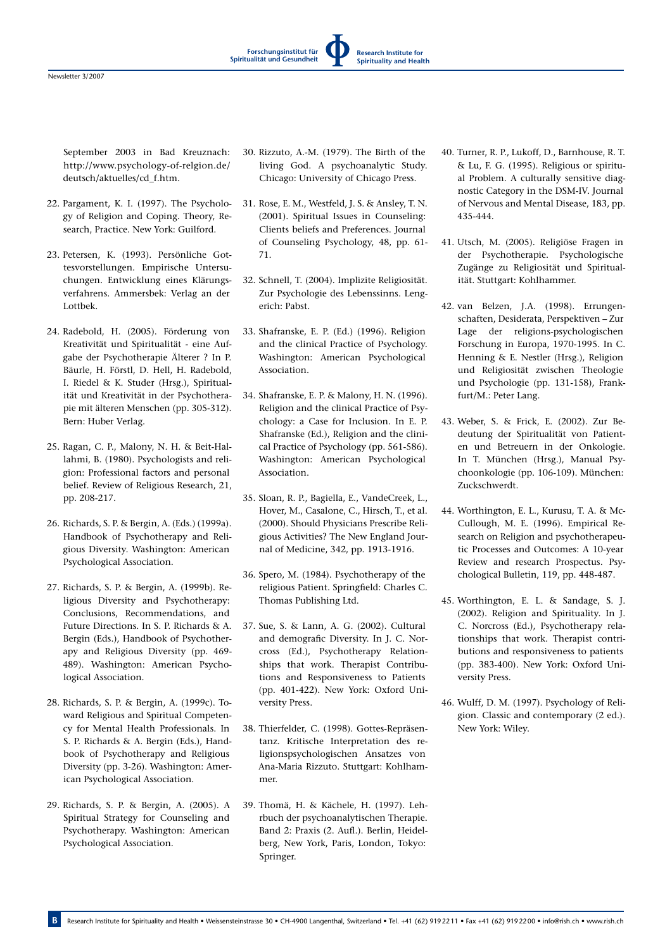September 2003 in Bad Kreuznach: http://www.psychology-of-relgion.de/ deutsch/aktuelles/cd\_f.htm.

- 22. Pargament, K. I. (1997). The Psychology of Religion and Coping. Theory, Research, Practice. New York: Guilford.
- 23. Petersen, K. (1993). Persönliche Gottesvorstellungen. Empirische Untersuchungen. Entwicklung eines Klärungsverfahrens. Ammersbek: Verlag an der Lottbek.
- 24. Radebold, H. (2005). Förderung von Kreativität und Spiritualität - eine Aufgabe der Psychotherapie Älterer ? In P. Bäurle, H. Förstl, D. Hell, H. Radebold, I. Riedel & K. Studer (Hrsg.), Spiritualität und Kreativität in der Psychotherapie mit älteren Menschen (pp. 305-312). Bern: Huber Verlag.
- 25. Ragan, C. P., Malony, N. H. & Beit-Hallahmi, B. (1980). Psychologists and religion: Professional factors and personal belief. Review of Religious Research, 21, pp. 208-217.
- 26. Richards, S. P. & Bergin, A. (Eds.) (1999a). Handbook of Psychotherapy and Religious Diversity. Washington: American Psychological Association.
- 27. Richards, S. P. & Bergin, A. (1999b). Religious Diversity and Psychotherapy: Conclusions, Recommendations, and Future Directions. In S. P. Richards & A. Bergin (Eds.), Handbook of Psychotherapy and Religious Diversity (pp. 469- 489). Washington: American Psychological Association.
- 28. Richards, S. P. & Bergin, A. (1999c). Toward Religious and Spiritual Competency for Mental Health Professionals. In S. P. Richards & A. Bergin (Eds.), Handbook of Psychotherapy and Religious Diversity (pp. 3-26). Washington: American Psychological Association.
- 29. Richards, S. P. & Bergin, A. (2005). A Spiritual Strategy for Counseling and Psychotherapy. Washington: American Psychological Association.

30. Rizzuto, A.-M. (1979). The Birth of the living God. A psychoanalytic Study. Chicago: University of Chicago Press.

**Forschungsinstitut für Spiritualität und Gesundheit**

**Research Institute for Spirituality and Health**

- 31. Rose, E. M., Westfeld, J. S. & Ansley, T. N. (2001). Spiritual Issues in Counseling: Clients beliefs and Preferences. Journal of Counseling Psychology, 48, pp. 61- 71.
- 32. Schnell, T. (2004). Implizite Religiosität. Zur Psychologie des Lebenssinns. Lengerich: Pabst.
- 33. Shafranske, E. P. (Ed.) (1996). Religion and the clinical Practice of Psychology. Washington: American Psychological Association.
- 34. Shafranske, E. P. & Malony, H. N. (1996). Religion and the clinical Practice of Psychology: a Case for Inclusion. In E. P. Shafranske (Ed.), Religion and the clinical Practice of Psychology (pp. 561-586). Washington: American Psychological Association.
- 35. Sloan, R. P., Bagiella, E., VandeCreek, L., Hover, M., Casalone, C., Hirsch, T., et al. (2000). Should Physicians Prescribe Religious Activities? The New England Journal of Medicine, 342, pp. 1913-1916.
- 36. Spero, M. (1984). Psychotherapy of the religious Patient. Springfield: Charles C. Thomas Publishing Ltd.
- 37. Sue, S. & Lann, A. G. (2002). Cultural and demografic Diversity. In J. C. Norcross (Ed.), Psychotherapy Relationships that work. Therapist Contributions and Responsiveness to Patients (pp. 401-422). New York: Oxford University Press.
- 38. Thierfelder, C. (1998). Gottes-Repräsentanz. Kritische Interpretation des religionspsychologischen Ansatzes von Ana-Maria Rizzuto. Stuttgart: Kohlhammer.
- 39. Thomä, H. & Kächele, H. (1997). Lehrbuch der psychoanalytischen Therapie. Band 2: Praxis (2. Aufl.). Berlin, Heidelberg, New York, Paris, London, Tokyo: Springer.
- 40. Turner, R. P., Lukoff, D., Barnhouse, R. T. & Lu, F. G. (1995). Religious or spiritual Problem. A culturally sensitive diagnostic Category in the DSM-IV. Journal of Nervous and Mental Disease, 183, pp. 435-444.
- 41. Utsch, M. (2005). Religiöse Fragen in der Psychotherapie. Psychologische Zugänge zu Religiosität und Spiritualität. Stuttgart: Kohlhammer.
- 42. van Belzen, J.A. (1998). Errungenschaften, Desiderata, Perspektiven – Zur Lage der religions-psychologischen Forschung in Europa, 1970-1995. In C. Henning & E. Nestler (Hrsg.), Religion und Religiosität zwischen Theologie und Psychologie (pp. 131-158), Frankfurt/M.: Peter Lang.
- 43. Weber, S. & Frick, E. (2002). Zur Bedeutung der Spiritualität von Patienten und Betreuern in der Onkologie. In T. München (Hrsg.), Manual Psychoonkologie (pp. 106-109). München: Zuckschwerdt.
- 44. Worthington, E. L., Kurusu, T. A. & Mc-Cullough, M. E. (1996). Empirical Research on Religion and psychotherapeutic Processes and Outcomes: A 10-year Review and research Prospectus. Psychological Bulletin, 119, pp. 448-487.
- 45. Worthington, E. L. & Sandage, S. J. (2002). Religion and Spirituality. In J. C. Norcross (Ed.), Psychotherapy relationships that work. Therapist contributions and responsiveness to patients (pp. 383-400). New York: Oxford University Press.
- 46. Wulff, D. M. (1997). Psychology of Religion. Classic and contemporary (2 ed.). New York: Wiley.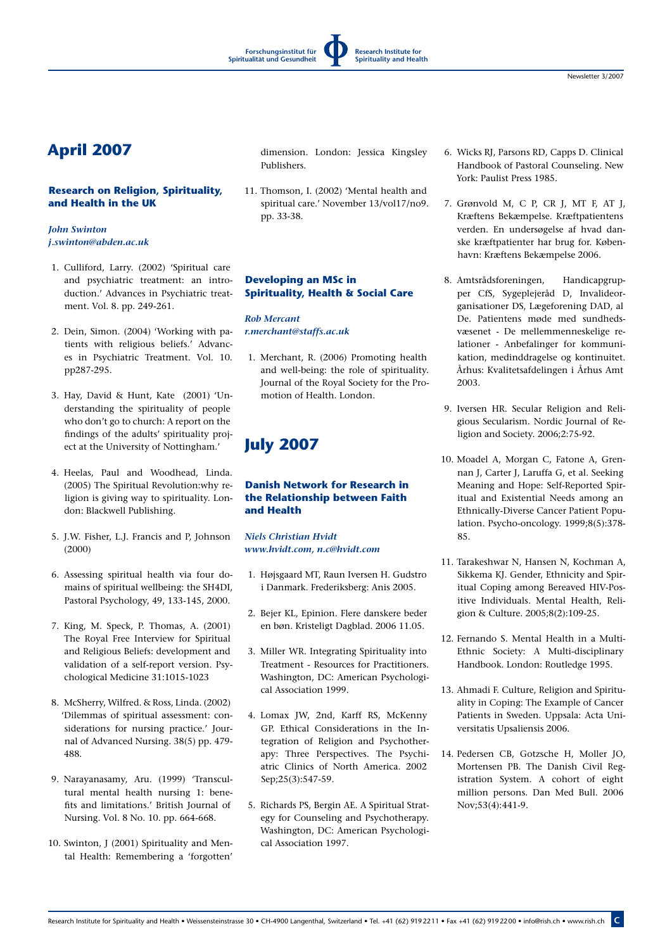# **April 2007**

### **Research on Religion, Spirituality, and Health in the UK**

### *John Swinton j.swinton@abden.ac.uk*

- 1. Culliford, Larry. (2002) 'Spiritual care and psychiatric treatment: an introduction.' Advances in Psychiatric treatment. Vol. 8. pp. 249-261.
- 2. Dein, Simon. (2004) 'Working with patients with religious beliefs.' Advances in Psychiatric Treatment. Vol. 10. pp287-295.
- 3. Hay, David & Hunt, Kate (2001) 'Understanding the spirituality of people who don't go to church: A report on the findings of the adults' spirituality project at the University of Nottingham.'
- 4. Heelas, Paul and Woodhead, Linda. (2005) The Spiritual Revolution:why religion is giving way to spirituality. London: Blackwell Publishing.
- 5. J.W. Fisher, L.J. Francis and P, Johnson (2000)
- 6. Assessing spiritual health via four domains of spiritual wellbeing: the SH4DI, Pastoral Psychology, 49, 133-145, 2000.
- 7. King, M. Speck, P. Thomas, A. (2001) The Royal Free Interview for Spiritual and Religious Beliefs: development and validation of a self-report version. Psychological Medicine 31:1015-1023
- 8. McSherry, Wilfred. & Ross, Linda. (2002) 'Dilemmas of spiritual assessment: considerations for nursing practice.' Journal of Advanced Nursing. 38(5) pp. 479- 488.
- 9. Narayanasamy, Aru. (1999) 'Transcultural mental health nursing 1: benefits and limitations.' British Journal of Nursing. Vol. 8 No. 10. pp. 664-668.
- 10. Swinton, J (2001) Spirituality and Mental Health: Remembering a 'forgotten'

dimension. London: Jessica Kingsley Publishers.

11. Thomson, I. (2002) 'Mental health and spiritual care.' November 13/vol17/no9. pp. 33-38.

### **Developing an MSc in Spirituality, Health & Social Care**

*Rob Mercant r.merchant@staffs.ac.uk*

1. Merchant, R. (2006) Promoting health and well-being: the role of spirituality. Journal of the Royal Society for the Promotion of Health. London.

# **July 2007**

### **Danish Network for Research in the Relationship between Faith and Health**

*Niels Christian Hvidt www.hvidt.com, n.c@hvidt.com*

- 1. Højsgaard MT, Raun Iversen H. Gudstro i Danmark. Frederiksberg: Anis 2005.
- 2. Bejer KL, Epinion. Flere danskere beder en bøn. Kristeligt Dagblad. 2006 11.05.
- 3. Miller WR. Integrating Spirituality into Treatment - Resources for Practitioners. Washington, DC: American Psychological Association 1999.
- 4. Lomax JW, 2nd, Karff RS, McKenny GP. Ethical Considerations in the Integration of Religion and Psychotherapy: Three Perspectives. The Psychiatric Clinics of North America. 2002 Sep;25(3):547-59.
- 5. Richards PS, Bergin AE. A Spiritual Strategy for Counseling and Psychotherapy. Washington, DC: American Psychological Association 1997.
- 6. Wicks RJ, Parsons RD, Capps D. Clinical Handbook of Pastoral Counseling. New York: Paulist Press 1985.
- 7. Grønvold M, C P, CR J, MT F, AT J, Kræftens Bekæmpelse. Kræftpatientens verden. En undersøgelse af hvad danske kræftpatienter har brug for. København: Kræftens Bekæmpelse 2006.
- 8. Amtsrådsforeningen, Handicapgrupper CfS, Sygeplejeråd D, Invalideorganisationer DS, Lægeforening DAD, al De. Patientens møde med sundhedsvæsenet - De mellemmenneskelige relationer - Anbefalinger for kommunikation, medinddragelse og kontinuitet. Århus: Kvalitetsafdelingen i Århus Amt 2003.
- 9. Iversen HR. Secular Religion and Religious Secularism. Nordic Journal of Religion and Society. 2006;2:75-92.
- 10. Moadel A, Morgan C, Fatone A, Grennan J, Carter J, Laruffa G, et al. Seeking Meaning and Hope: Self-Reported Spiritual and Existential Needs among an Ethnically-Diverse Cancer Patient Population. Psycho-oncology. 1999;8(5):378- 85.
- 11. Tarakeshwar N, Hansen N, Kochman A, Sikkema KJ. Gender, Ethnicity and Spiritual Coping among Bereaved HIV-Positive Individuals. Mental Health, Religion & Culture. 2005;8(2):109-25.
- 12. Fernando S. Mental Health in a Multi-Ethnic Society: A Multi-disciplinary Handbook. London: Routledge 1995.
- 13. Ahmadi F. Culture, Religion and Spirituality in Coping: The Example of Cancer Patients in Sweden. Uppsala: Acta Universitatis Upsaliensis 2006.
- 14. Pedersen CB, Gotzsche H, Moller JO, Mortensen PB. The Danish Civil Registration System. A cohort of eight million persons. Dan Med Bull. 2006 Nov;53(4):441-9.